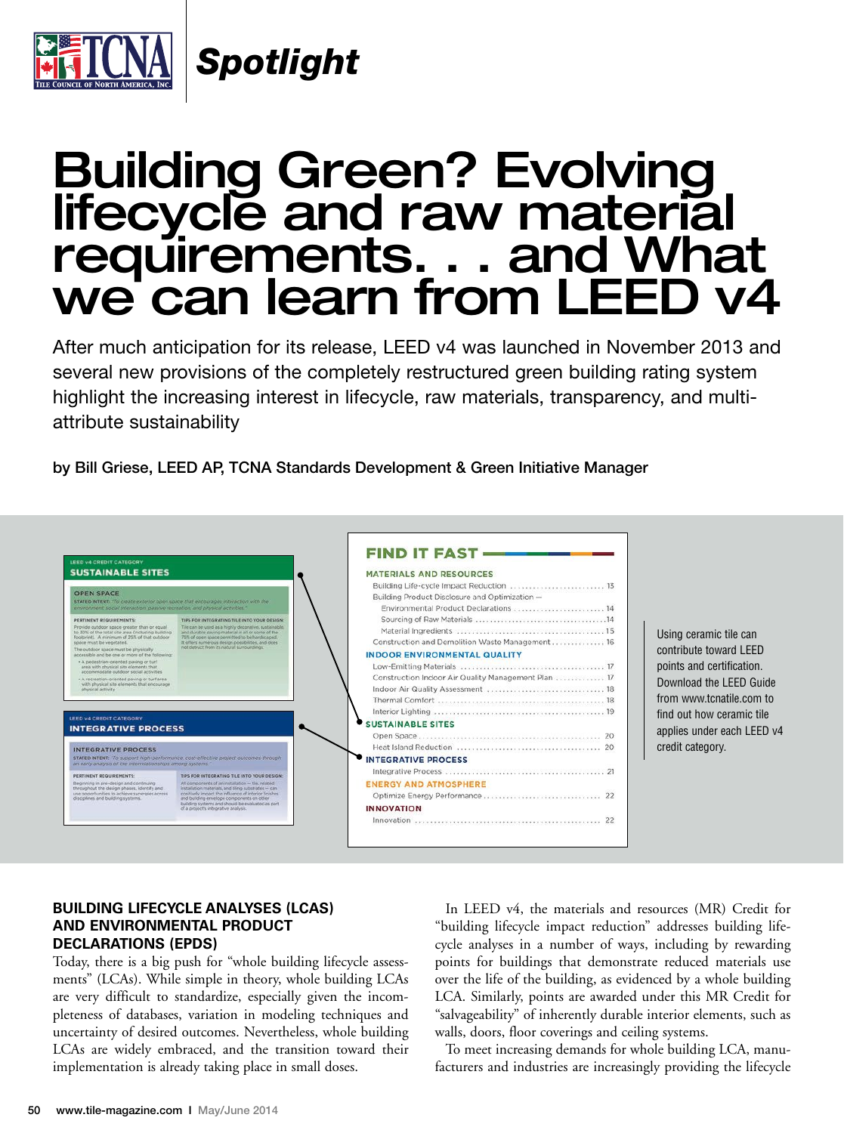

*Spotlight*

# Building Green? Evolving<br>lifecycle and raw material requirements. . . and What we can learn from LEED v4

After much anticipation for its release, LEED v4 was launched in November 2013 and several new provisions of the completely restructured green building rating system highlight the increasing interest in lifecycle, raw materials, transparency, and multiattribute sustainability

by Bill Griese, LEED AP, TCNA Standards Development & Green Initiative Manager



Using ceramic tile can contribute toward LEED points and certification. Download the LEED Guide from www.tcnatile.com to find out how ceramic tile applies under each LEED v4 credit category.

#### **BuildinG liFeCYCle analYses (lCas) and enVironmenTal produCT deClaraTions (epds)**

Today, there is a big push for "whole building lifecycle assessments" (LCAs). While simple in theory, whole building LCAs are very difficult to standardize, especially given the incompleteness of databases, variation in modeling techniques and uncertainty of desired outcomes. Nevertheless, whole building LCAs are widely embraced, and the transition toward their implementation is already taking place in small doses.

In LEED v4, the materials and resources (MR) Credit for "building lifecycle impact reduction" addresses building lifecycle analyses in a number of ways, including by rewarding points for buildings that demonstrate reduced materials use over the life of the building, as evidenced by a whole building LCA. Similarly, points are awarded under this MR Credit for "salvageability" of inherently durable interior elements, such as walls, doors, floor coverings and ceiling systems.

To meet increasing demands for whole building LCA, manufacturers and industries are increasingly providing the lifecycle